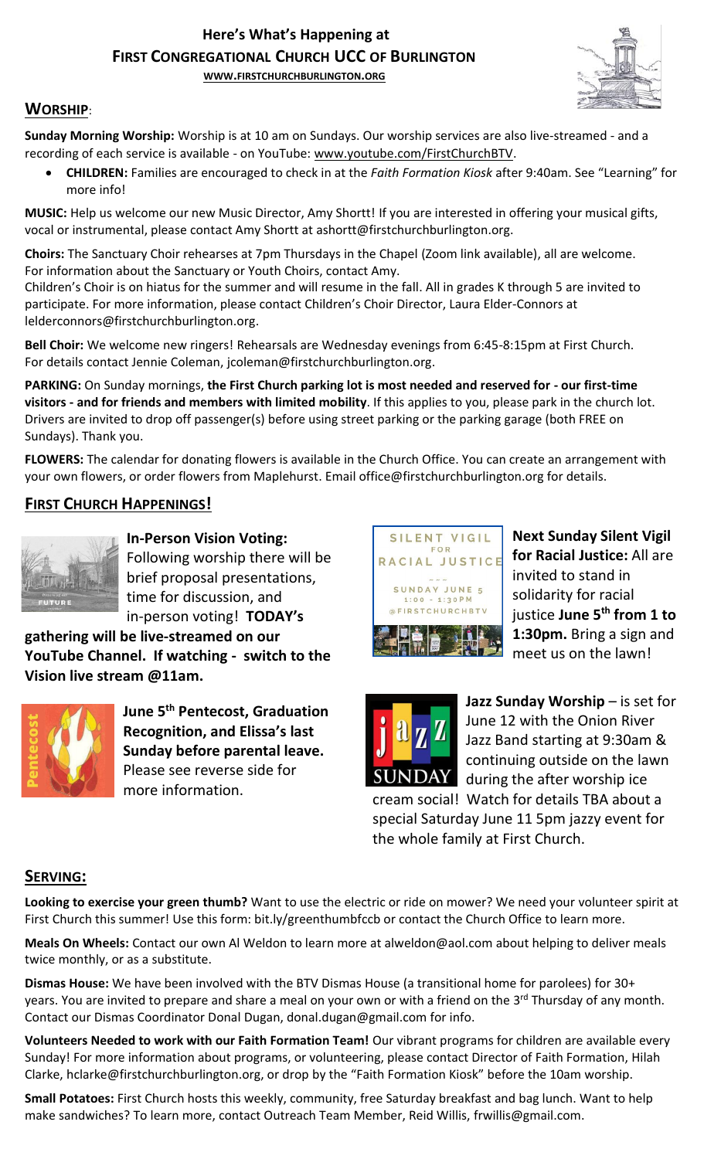# **Here's What's Happening at FIRST CONGREGATIONAL CHURCH UCC OF BURLINGTON**

**WWW.[FIRSTCHURCHBURLINGTON](http://www.firstchurchburlington.org/).ORG**



## **WORSHIP**:

**Sunday Morning Worship:** Worship is at 10 am on Sundays. Our worship services are also live-streamed - and a recording of each service is available - on YouTube: [www.youtube.com/FirstChurchBTV.](http://www.youtube.com/FirstChurchBTV)

• **CHILDREN:** Families are encouraged to check in at the *Faith Formation Kiosk* after 9:40am. See "Learning" for more info!

**MUSIC:** Help us welcome our new Music Director, Amy Shortt! If you are interested in offering your musical gifts, vocal or instrumental, please contact Amy Shortt at ashortt@firstchurchburlington.org.

**Choirs:** The Sanctuary Choir rehearses at 7pm Thursdays in the Chapel (Zoom link available), all are welcome. For information about the Sanctuary or Youth Choirs, contact Amy.

Children's Choir is on hiatus for the summer and will resume in the fall. All in grades K through 5 are invited to participate. For more information, please contact Children's Choir Director, Laura Elder-Connors at lelderconnors@firstchurchburlington.org.

**Bell Choir:** We welcome new ringers! Rehearsals are Wednesday evenings from 6:45-8:15pm at First Church. For details contact Jennie Coleman, [jcoleman@firstchurchburlington.org.](mailto:jcoleman@firstchurchburlington.org)

**PARKING:** On Sunday mornings, **the First Church parking lot is most needed and reserved for - our first-time visitors - and for friends and members with limited mobility**. If this applies to you, please park in the church lot. Drivers are invited to drop off passenger(s) before using street parking or the parking garage (both FREE on Sundays). Thank you.

**FLOWERS:** The calendar for donating flowers is available in the Church Office. You can create an arrangement with your own flowers, or order flowers from Maplehurst. Email office@firstchurchburlington.org for details.

# **FIRST CHURCH HAPPENINGS!**



**In-Person Vision Voting:** Following worship there will be brief proposal presentations, time for discussion, and in-person voting! **TODAY's**

**gathering will be live-streamed on our YouTube Channel. If watching - switch to the Vision live stream @11am.**



**June 5th Pentecost, Graduation Recognition, and Elissa's last Sunday before parental leave.** Please see reverse side for more information.



**Next Sunday Silent Vigil for Racial Justice:** All are invited to stand in solidarity for racial justice **June 5th from 1 to 1:30pm.** Bring a sign and meet us on the lawn! 



**Jazz Sunday Worship** – is set for June 12 with the Onion River Jazz Band starting at 9:30am & continuing outside on the lawn during the after worship ice

cream social! Watch for details TBA about a special Saturday June 11 5pm jazzy event for the whole family at First Church.

### **SERVING:**

**Looking to exercise your green thumb?** Want to use the electric or ride on mower? We need your volunteer spirit at First Church this summer! Use this form: bit.ly/greenthumbfccb or contact the Church Office to learn more.

**Meals On Wheels:** Contact our own Al Weldon to learn more at alweldon@aol.com about helping to deliver meals twice monthly, or as a substitute.

**Dismas House:** We have been involved with the BTV Dismas House (a transitional home for parolees) for 30+ years. You are invited to prepare and share a meal on your own or with a friend on the 3<sup>rd</sup> Thursday of any month. Contact our Dismas Coordinator Donal Dugan, [donal.dugan@gmail.com](mailto:donal.dugan@gmail.com) for info.

**Volunteers Needed to work with our Faith Formation Team!** Our vibrant programs for children are available every Sunday! For more information about programs, or volunteering, please contact Director of Faith Formation, Hilah Clarke, hclarke@firstchurchburlington.org, or drop by the "Faith Formation Kiosk" before the 10am worship.

**Small Potatoes:** First Church hosts this weekly, community, free Saturday breakfast and bag lunch. Want to help make sandwiches? To learn more, contact Outreach Team Member, Reid Willis, [frwillis@gmail.com.](mailto:frwillis@gmail.com)